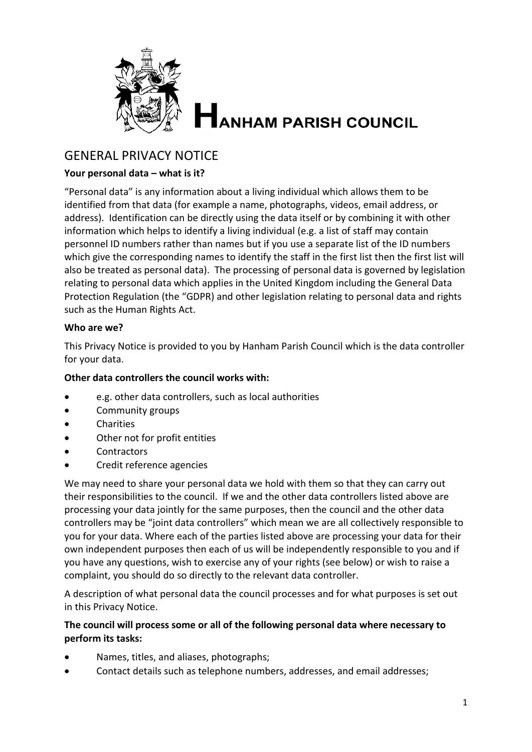

# **ANHAM PARISH COUNCIL**

# GENERAL PRIVACY NOTICE

# **Your personal data – what is it?**

"Personal data" is any information about a living individual which allows them to be identified from that data (for example a name, photographs, videos, email address, or address). Identification can be directly using the data itself or by combining it with other information which helps to identify a living individual (e.g. a list of staff may contain personnel ID numbers rather than names but if you use a separate list of the ID numbers which give the corresponding names to identify the staff in the first list then the first list will also be treated as personal data). The processing of personal data is governed by legislation relating to personal data which applies in the United Kingdom including the General Data Protection Regulation (the "GDPR) and other legislation relating to personal data and rights such as the Human Rights Act.

# **Who are we?**

This Privacy Notice is provided to you by Hanham Parish Council which is the data controller for your data.

#### **Other data controllers the council works with:**

- e.g. other data controllers, such as local authorities
- Community groups
- Charities
- Other not for profit entities
- **Contractors**
- Credit reference agencies

We may need to share your personal data we hold with them so that they can carry out their responsibilities to the council. If we and the other data controllers listed above are processing your data jointly for the same purposes, then the council and the other data controllers may be "joint data controllers" which mean we are all collectively responsible to you for your data. Where each of the parties listed above are processing your data for their own independent purposes then each of us will be independently responsible to you and if you have any questions, wish to exercise any of your rights (see below) or wish to raise a complaint, you should do so directly to the relevant data controller.

A description of what personal data the council processes and for what purposes is set out in this Privacy Notice.

# **The council will process some or all of the following personal data where necessary to perform its tasks:**

- Names, titles, and aliases, photographs;
- Contact details such as telephone numbers, addresses, and email addresses;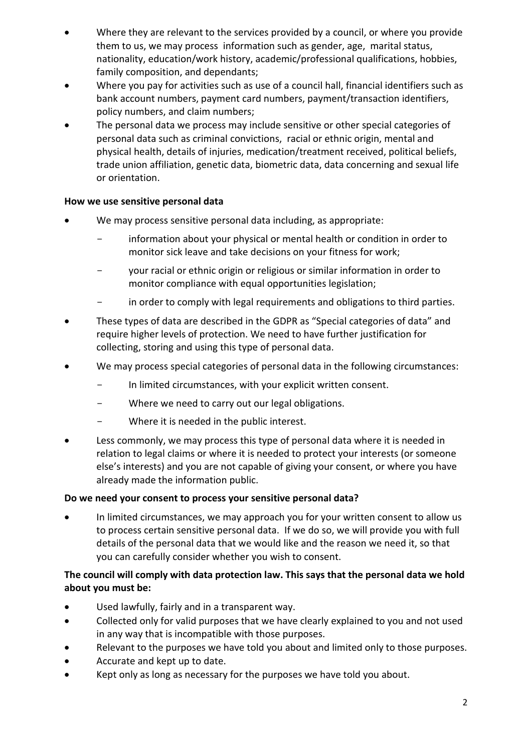- Where they are relevant to the services provided by a council, or where you provide them to us, we may process information such as gender, age, marital status, nationality, education/work history, academic/professional qualifications, hobbies, family composition, and dependants;
- Where you pay for activities such as use of a council hall, financial identifiers such as bank account numbers, payment card numbers, payment/transaction identifiers, policy numbers, and claim numbers;
- The personal data we process may include sensitive or other special categories of personal data such as criminal convictions, racial or ethnic origin, mental and physical health, details of injuries, medication/treatment received, political beliefs, trade union affiliation, genetic data, biometric data, data concerning and sexual life or orientation.

# **How we use sensitive personal data**

- We may process sensitive personal data including, as appropriate:
	- information about your physical or mental health or condition in order to monitor sick leave and take decisions on your fitness for work;
	- your racial or ethnic origin or religious or similar information in order to monitor compliance with equal opportunities legislation;
	- in order to comply with legal requirements and obligations to third parties.
- These types of data are described in the GDPR as "Special categories of data" and require higher levels of protection. We need to have further justification for collecting, storing and using this type of personal data.
- We may process special categories of personal data in the following circumstances:
	- In limited circumstances, with your explicit written consent.
	- Where we need to carry out our legal obligations.
	- Where it is needed in the public interest.
- Less commonly, we may process this type of personal data where it is needed in relation to legal claims or where it is needed to protect your interests (or someone else's interests) and you are not capable of giving your consent, or where you have already made the information public.

# **Do we need your consent to process your sensitive personal data?**

• In limited circumstances, we may approach you for your written consent to allow us to process certain sensitive personal data. If we do so, we will provide you with full details of the personal data that we would like and the reason we need it, so that you can carefully consider whether you wish to consent.

# **The council will comply with data protection law. This says that the personal data we hold about you must be:**

- Used lawfully, fairly and in a transparent way.
- Collected only for valid purposes that we have clearly explained to you and not used in any way that is incompatible with those purposes.
- Relevant to the purposes we have told you about and limited only to those purposes.
- Accurate and kept up to date.
- Kept only as long as necessary for the purposes we have told you about.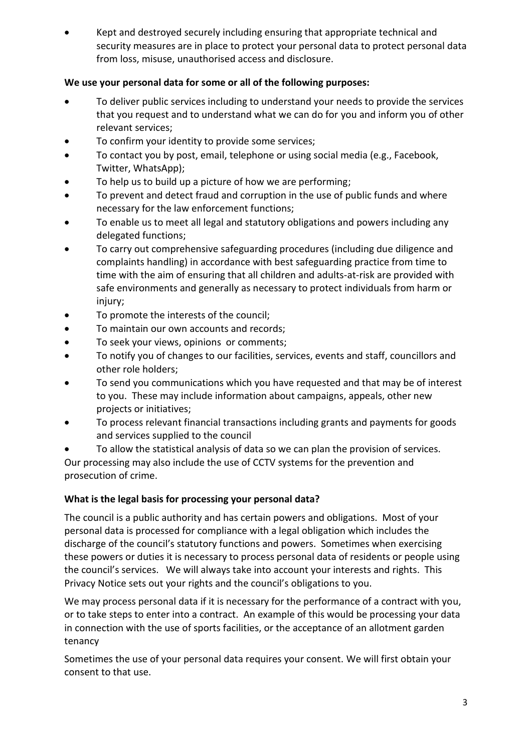• Kept and destroyed securely including ensuring that appropriate technical and security measures are in place to protect your personal data to protect personal data from loss, misuse, unauthorised access and disclosure.

# **We use your personal data for some or all of the following purposes:**

- To deliver public services including to understand your needs to provide the services that you request and to understand what we can do for you and inform you of other relevant services;
- To confirm your identity to provide some services;
- To contact you by post, email, telephone or using social media (e.g., Facebook, Twitter, WhatsApp);
- To help us to build up a picture of how we are performing;
- To prevent and detect fraud and corruption in the use of public funds and where necessary for the law enforcement functions;
- To enable us to meet all legal and statutory obligations and powers including any delegated functions;
- To carry out comprehensive safeguarding procedures (including due diligence and complaints handling) in accordance with best safeguarding practice from time to time with the aim of ensuring that all children and adults-at-risk are provided with safe environments and generally as necessary to protect individuals from harm or injury;
- To promote the interests of the council;
- To maintain our own accounts and records;
- To seek your views, opinions or comments;
- To notify you of changes to our facilities, services, events and staff, councillors and other role holders;
- To send you communications which you have requested and that may be of interest to you. These may include information about campaigns, appeals, other new projects or initiatives;
- To process relevant financial transactions including grants and payments for goods and services supplied to the council

• To allow the statistical analysis of data so we can plan the provision of services. Our processing may also include the use of CCTV systems for the prevention and prosecution of crime.

# **What is the legal basis for processing your personal data?**

The council is a public authority and has certain powers and obligations. Most of your personal data is processed for compliance with a legal obligation which includes the discharge of the council's statutory functions and powers. Sometimes when exercising these powers or duties it is necessary to process personal data of residents or people using the council's services. We will always take into account your interests and rights. This Privacy Notice sets out your rights and the council's obligations to you.

We may process personal data if it is necessary for the performance of a contract with you, or to take steps to enter into a contract. An example of this would be processing your data in connection with the use of sports facilities, or the acceptance of an allotment garden tenancy

Sometimes the use of your personal data requires your consent. We will first obtain your consent to that use.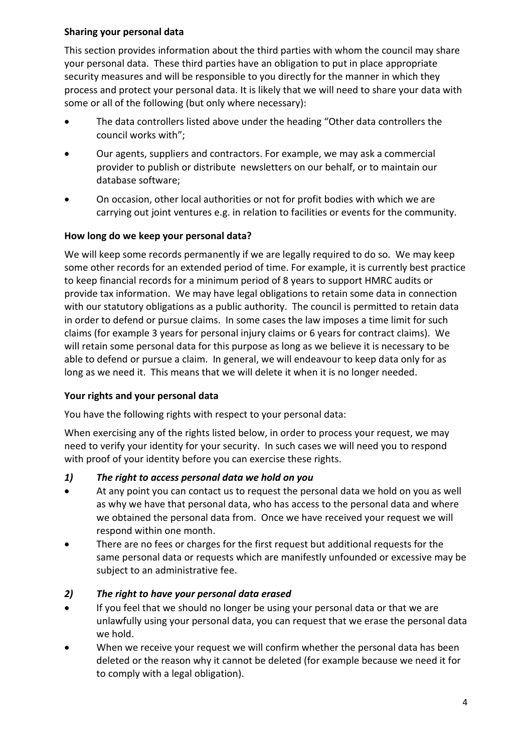# **Sharing your personal data**

This section provides information about the third parties with whom the council may share your personal data. These third parties have an obligation to put in place appropriate security measures and will be responsible to you directly for the manner in which they process and protect your personal data. It is likely that we will need to share your data with some or all of the following (but only where necessary):

- The data controllers listed above under the heading "Other data controllers the council works with";
- Our agents, suppliers and contractors. For example, we may ask a commercial provider to publish or distribute newsletters on our behalf, or to maintain our database software;
- On occasion, other local authorities or not for profit bodies with which we are carrying out joint ventures e.g. in relation to facilities or events for the community.

# **How long do we keep your personal data?**

We will keep some records permanently if we are legally required to do so. We may keep some other records for an extended period of time. For example, it is currently best practice to keep financial records for a minimum period of 8 years to support HMRC audits or provide tax information. We may have legal obligations to retain some data in connection with our statutory obligations as a public authority. The council is permitted to retain data in order to defend or pursue claims. In some cases the law imposes a time limit for such claims (for example 3 years for personal injury claims or 6 years for contract claims). We will retain some personal data for this purpose as long as we believe it is necessary to be able to defend or pursue a claim. In general, we will endeavour to keep data only for as long as we need it. This means that we will delete it when it is no longer needed.

# **Your rights and your personal data**

You have the following rights with respect to your personal data:

When exercising any of the rights listed below, in order to process your request, we may need to verify your identity for your security. In such cases we will need you to respond with proof of your identity before you can exercise these rights.

# *1) The right to access personal data we hold on you*

- At any point you can contact us to request the personal data we hold on you as well as why we have that personal data, who has access to the personal data and where we obtained the personal data from. Once we have received your request we will respond within one month.
- There are no fees or charges for the first request but additional requests for the same personal data or requests which are manifestly unfounded or excessive may be subject to an administrative fee.

# *2) The right to have your personal data erased*

- If you feel that we should no longer be using your personal data or that we are unlawfully using your personal data, you can request that we erase the personal data we hold.
- When we receive your request we will confirm whether the personal data has been deleted or the reason why it cannot be deleted (for example because we need it for to comply with a legal obligation).